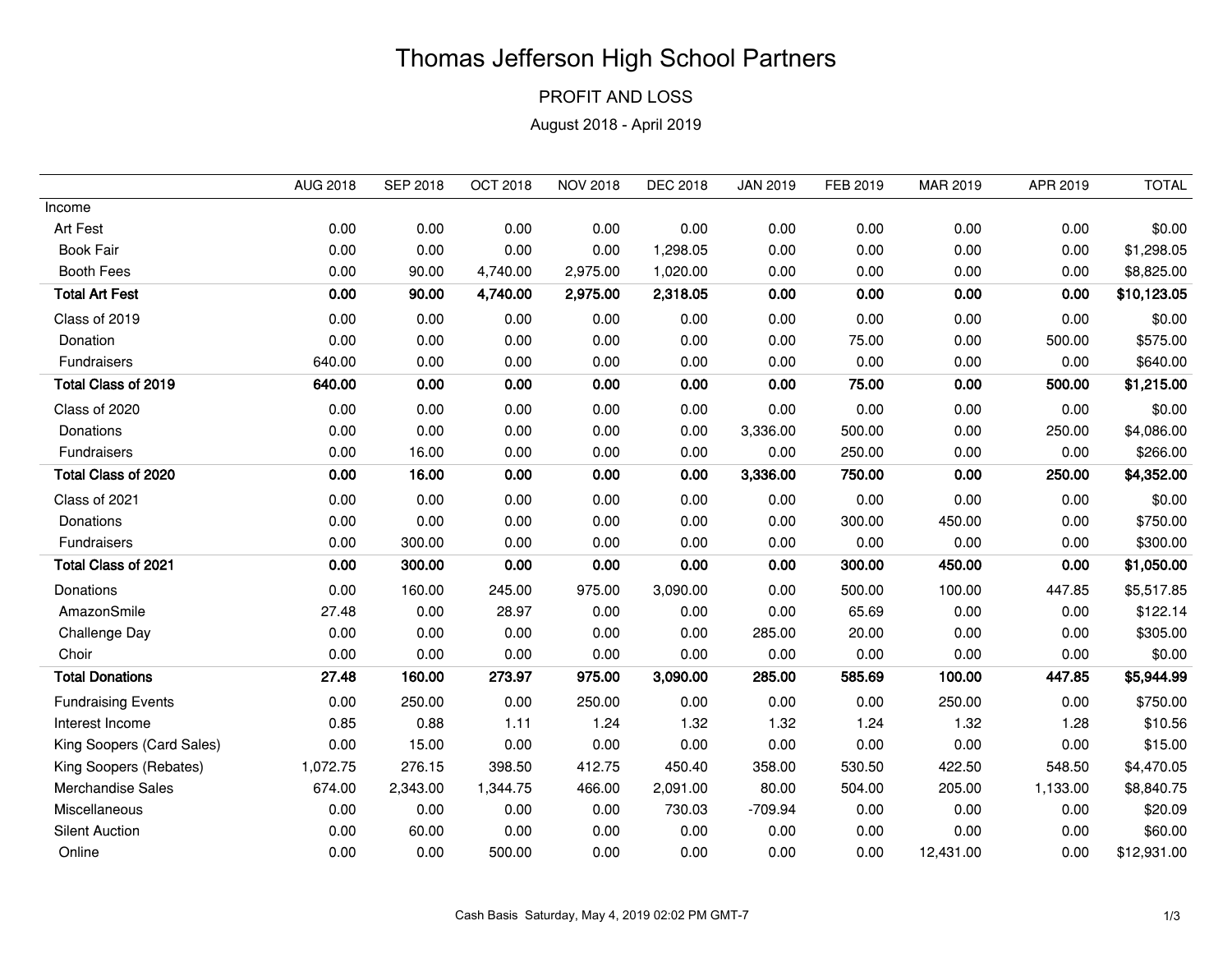## Thomas Jefferson High School Partners

PROFIT AND LOSS

August 2018 - April 2019

|                           | <b>AUG 2018</b> | <b>SEP 2018</b> | <b>OCT 2018</b> | <b>NOV 2018</b> | <b>DEC 2018</b> | <b>JAN 2019</b> | FEB 2019 | MAR 2019  | APR 2019 | <b>TOTAL</b> |
|---------------------------|-----------------|-----------------|-----------------|-----------------|-----------------|-----------------|----------|-----------|----------|--------------|
| Income                    |                 |                 |                 |                 |                 |                 |          |           |          |              |
| Art Fest                  | 0.00            | 0.00            | 0.00            | 0.00            | 0.00            | 0.00            | 0.00     | 0.00      | 0.00     | \$0.00       |
| <b>Book Fair</b>          | 0.00            | 0.00            | 0.00            | 0.00            | 1,298.05        | 0.00            | 0.00     | 0.00      | 0.00     | \$1,298.05   |
| <b>Booth Fees</b>         | 0.00            | 90.00           | 4,740.00        | 2,975.00        | 1,020.00        | 0.00            | 0.00     | 0.00      | 0.00     | \$8,825.00   |
| <b>Total Art Fest</b>     | 0.00            | 90.00           | 4,740.00        | 2,975.00        | 2,318.05        | 0.00            | 0.00     | 0.00      | 0.00     | \$10,123.05  |
| Class of 2019             | 0.00            | 0.00            | 0.00            | 0.00            | 0.00            | 0.00            | 0.00     | 0.00      | 0.00     | \$0.00       |
| Donation                  | 0.00            | 0.00            | 0.00            | 0.00            | 0.00            | 0.00            | 75.00    | 0.00      | 500.00   | \$575.00     |
| Fundraisers               | 640.00          | 0.00            | 0.00            | 0.00            | 0.00            | 0.00            | 0.00     | 0.00      | 0.00     | \$640.00     |
| Total Class of 2019       | 640.00          | 0.00            | 0.00            | 0.00            | 0.00            | 0.00            | 75.00    | 0.00      | 500.00   | \$1,215.00   |
| Class of 2020             | 0.00            | 0.00            | 0.00            | 0.00            | 0.00            | 0.00            | 0.00     | 0.00      | 0.00     | \$0.00       |
| Donations                 | 0.00            | 0.00            | 0.00            | 0.00            | 0.00            | 3,336.00        | 500.00   | 0.00      | 250.00   | \$4,086.00   |
| Fundraisers               | 0.00            | 16.00           | 0.00            | 0.00            | 0.00            | 0.00            | 250.00   | 0.00      | 0.00     | \$266.00     |
| Total Class of 2020       | 0.00            | 16.00           | 0.00            | 0.00            | 0.00            | 3,336.00        | 750.00   | 0.00      | 250.00   | \$4,352.00   |
| Class of 2021             | 0.00            | 0.00            | 0.00            | 0.00            | 0.00            | 0.00            | 0.00     | 0.00      | 0.00     | \$0.00       |
| Donations                 | 0.00            | 0.00            | 0.00            | 0.00            | 0.00            | 0.00            | 300.00   | 450.00    | 0.00     | \$750.00     |
| Fundraisers               | 0.00            | 300.00          | 0.00            | 0.00            | 0.00            | 0.00            | 0.00     | 0.00      | 0.00     | \$300.00     |
| Total Class of 2021       | 0.00            | 300.00          | 0.00            | 0.00            | 0.00            | 0.00            | 300.00   | 450.00    | 0.00     | \$1,050.00   |
| Donations                 | 0.00            | 160.00          | 245.00          | 975.00          | 3,090.00        | 0.00            | 500.00   | 100.00    | 447.85   | \$5,517.85   |
| AmazonSmile               | 27.48           | 0.00            | 28.97           | 0.00            | 0.00            | 0.00            | 65.69    | 0.00      | 0.00     | \$122.14     |
| Challenge Day             | 0.00            | 0.00            | 0.00            | 0.00            | 0.00            | 285.00          | 20.00    | 0.00      | 0.00     | \$305.00     |
| Choir                     | 0.00            | 0.00            | 0.00            | 0.00            | 0.00            | 0.00            | 0.00     | 0.00      | 0.00     | \$0.00       |
| <b>Total Donations</b>    | 27.48           | 160.00          | 273.97          | 975.00          | 3,090.00        | 285.00          | 585.69   | 100.00    | 447.85   | \$5,944.99   |
| <b>Fundraising Events</b> | 0.00            | 250.00          | 0.00            | 250.00          | 0.00            | 0.00            | 0.00     | 250.00    | 0.00     | \$750.00     |
| Interest Income           | 0.85            | 0.88            | 1.11            | 1.24            | 1.32            | 1.32            | 1.24     | 1.32      | 1.28     | \$10.56      |
| King Soopers (Card Sales) | 0.00            | 15.00           | 0.00            | 0.00            | 0.00            | 0.00            | 0.00     | 0.00      | 0.00     | \$15.00      |
| King Soopers (Rebates)    | 1,072.75        | 276.15          | 398.50          | 412.75          | 450.40          | 358.00          | 530.50   | 422.50    | 548.50   | \$4,470.05   |
| <b>Merchandise Sales</b>  | 674.00          | 2,343.00        | 1,344.75        | 466.00          | 2,091.00        | 80.00           | 504.00   | 205.00    | 1,133.00 | \$8,840.75   |
| Miscellaneous             | 0.00            | 0.00            | 0.00            | 0.00            | 730.03          | $-709.94$       | 0.00     | 0.00      | 0.00     | \$20.09      |
| <b>Silent Auction</b>     | 0.00            | 60.00           | 0.00            | 0.00            | 0.00            | 0.00            | 0.00     | 0.00      | 0.00     | \$60.00      |
| Online                    | 0.00            | 0.00            | 500.00          | 0.00            | 0.00            | 0.00            | 0.00     | 12,431.00 | 0.00     | \$12,931.00  |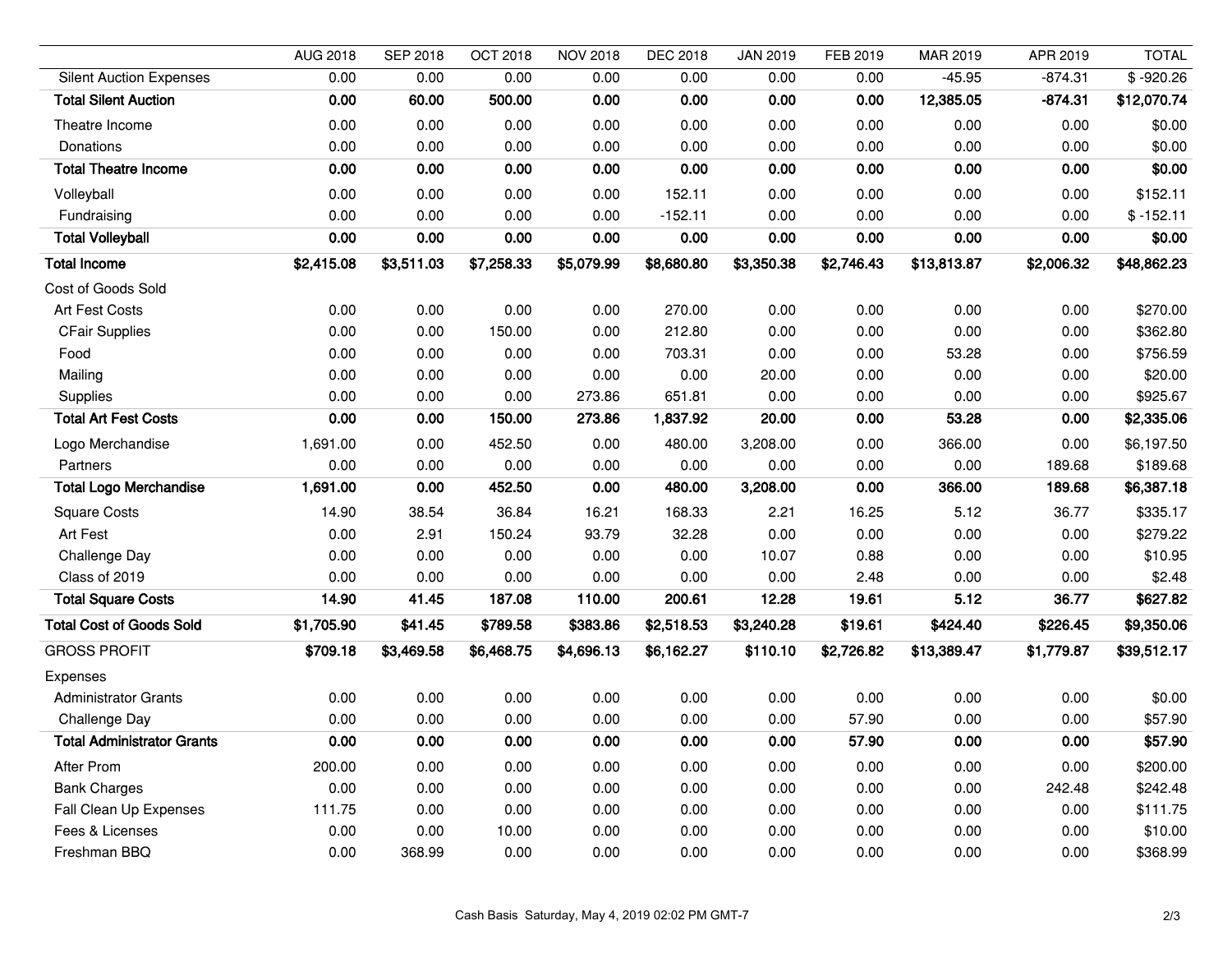|                                   | <b>AUG 2018</b> | <b>SEP 2018</b> | <b>OCT 2018</b> | <b>NOV 2018</b> | <b>DEC 2018</b> | <b>JAN 2019</b> | FEB 2019   | MAR 2019    | APR 2019   | <b>TOTAL</b> |
|-----------------------------------|-----------------|-----------------|-----------------|-----------------|-----------------|-----------------|------------|-------------|------------|--------------|
| <b>Silent Auction Expenses</b>    | 0.00            | 0.00            | 0.00            | 0.00            | 0.00            | 0.00            | 0.00       | $-45.95$    | $-874.31$  | $$ -920.26$  |
| <b>Total Silent Auction</b>       | 0.00            | 60.00           | 500.00          | 0.00            | 0.00            | 0.00            | 0.00       | 12,385.05   | $-874.31$  | \$12,070.74  |
| Theatre Income                    | 0.00            | 0.00            | 0.00            | 0.00            | 0.00            | 0.00            | 0.00       | 0.00        | 0.00       | \$0.00       |
| Donations                         | 0.00            | 0.00            | 0.00            | 0.00            | 0.00            | 0.00            | 0.00       | 0.00        | 0.00       | \$0.00       |
| <b>Total Theatre Income</b>       | 0.00            | 0.00            | 0.00            | 0.00            | 0.00            | 0.00            | 0.00       | 0.00        | 0.00       | \$0.00       |
| Volleyball                        | 0.00            | 0.00            | 0.00            | 0.00            | 152.11          | 0.00            | 0.00       | 0.00        | 0.00       | \$152.11     |
| Fundraising                       | 0.00            | 0.00            | 0.00            | 0.00            | $-152.11$       | 0.00            | 0.00       | 0.00        | 0.00       | $$ -152.11$  |
| <b>Total Volleyball</b>           | 0.00            | 0.00            | 0.00            | 0.00            | 0.00            | 0.00            | 0.00       | 0.00        | 0.00       | \$0.00       |
| <b>Total Income</b>               | \$2,415.08      | \$3,511.03      | \$7,258.33      | \$5,079.99      | \$8,680.80      | \$3,350.38      | \$2,746.43 | \$13,813.87 | \$2,006.32 | \$48,862.23  |
| Cost of Goods Sold                |                 |                 |                 |                 |                 |                 |            |             |            |              |
| Art Fest Costs                    | 0.00            | 0.00            | 0.00            | 0.00            | 270.00          | 0.00            | 0.00       | 0.00        | 0.00       | \$270.00     |
| <b>CFair Supplies</b>             | 0.00            | 0.00            | 150.00          | 0.00            | 212.80          | 0.00            | 0.00       | 0.00        | 0.00       | \$362.80     |
| Food                              | 0.00            | 0.00            | 0.00            | 0.00            | 703.31          | 0.00            | 0.00       | 53.28       | 0.00       | \$756.59     |
| Mailing                           | 0.00            | 0.00            | 0.00            | 0.00            | 0.00            | 20.00           | 0.00       | 0.00        | 0.00       | \$20.00      |
| Supplies                          | 0.00            | 0.00            | 0.00            | 273.86          | 651.81          | 0.00            | 0.00       | 0.00        | 0.00       | \$925.67     |
| <b>Total Art Fest Costs</b>       | 0.00            | 0.00            | 150.00          | 273.86          | 1,837.92        | 20.00           | 0.00       | 53.28       | 0.00       | \$2,335.06   |
| Logo Merchandise                  | 1,691.00        | 0.00            | 452.50          | 0.00            | 480.00          | 3,208.00        | 0.00       | 366.00      | 0.00       | \$6,197.50   |
| Partners                          | 0.00            | 0.00            | 0.00            | 0.00            | 0.00            | 0.00            | 0.00       | 0.00        | 189.68     | \$189.68     |
| <b>Total Logo Merchandise</b>     | 1,691.00        | 0.00            | 452.50          | 0.00            | 480.00          | 3,208.00        | 0.00       | 366.00      | 189.68     | \$6,387.18   |
| <b>Square Costs</b>               | 14.90           | 38.54           | 36.84           | 16.21           | 168.33          | 2.21            | 16.25      | 5.12        | 36.77      | \$335.17     |
| Art Fest                          | 0.00            | 2.91            | 150.24          | 93.79           | 32.28           | 0.00            | 0.00       | 0.00        | 0.00       | \$279.22     |
| Challenge Day                     | 0.00            | 0.00            | 0.00            | 0.00            | 0.00            | 10.07           | 0.88       | 0.00        | 0.00       | \$10.95      |
| Class of 2019                     | 0.00            | 0.00            | 0.00            | 0.00            | 0.00            | 0.00            | 2.48       | 0.00        | 0.00       | \$2.48       |
| <b>Total Square Costs</b>         | 14.90           | 41.45           | 187.08          | 110.00          | 200.61          | 12.28           | 19.61      | 5.12        | 36.77      | \$627.82     |
| <b>Total Cost of Goods Sold</b>   | \$1,705.90      | \$41.45         | \$789.58        | \$383.86        | \$2,518.53      | \$3,240.28      | \$19.61    | \$424.40    | \$226.45   | \$9,350.06   |
| <b>GROSS PROFIT</b>               | \$709.18        | \$3,469.58      | \$6,468.75      | \$4,696.13      | \$6,162.27      | \$110.10        | \$2,726.82 | \$13,389.47 | \$1,779.87 | \$39,512.17  |
| Expenses                          |                 |                 |                 |                 |                 |                 |            |             |            |              |
| <b>Administrator Grants</b>       | 0.00            | 0.00            | 0.00            | 0.00            | 0.00            | 0.00            | 0.00       | 0.00        | 0.00       | \$0.00       |
| Challenge Day                     | 0.00            | 0.00            | 0.00            | 0.00            | 0.00            | 0.00            | 57.90      | 0.00        | 0.00       | \$57.90      |
| <b>Total Administrator Grants</b> | 0.00            | 0.00            | 0.00            | 0.00            | 0.00            | 0.00            | 57.90      | 0.00        | 0.00       | \$57.90      |
| <b>After Prom</b>                 | 200.00          | 0.00            | 0.00            | 0.00            | 0.00            | 0.00            | 0.00       | 0.00        | 0.00       | \$200.00     |
| <b>Bank Charges</b>               | 0.00            | 0.00            | 0.00            | 0.00            | 0.00            | 0.00            | 0.00       | 0.00        | 242.48     | \$242.48     |
| Fall Clean Up Expenses            | 111.75          | 0.00            | 0.00            | 0.00            | 0.00            | 0.00            | 0.00       | 0.00        | 0.00       | \$111.75     |
| Fees & Licenses                   | 0.00            | 0.00            | 10.00           | 0.00            | 0.00            | 0.00            | 0.00       | 0.00        | 0.00       | \$10.00      |
| Freshman BBQ                      | 0.00            | 368.99          | 0.00            | 0.00            | 0.00            | 0.00            | 0.00       | 0.00        | 0.00       | \$368.99     |